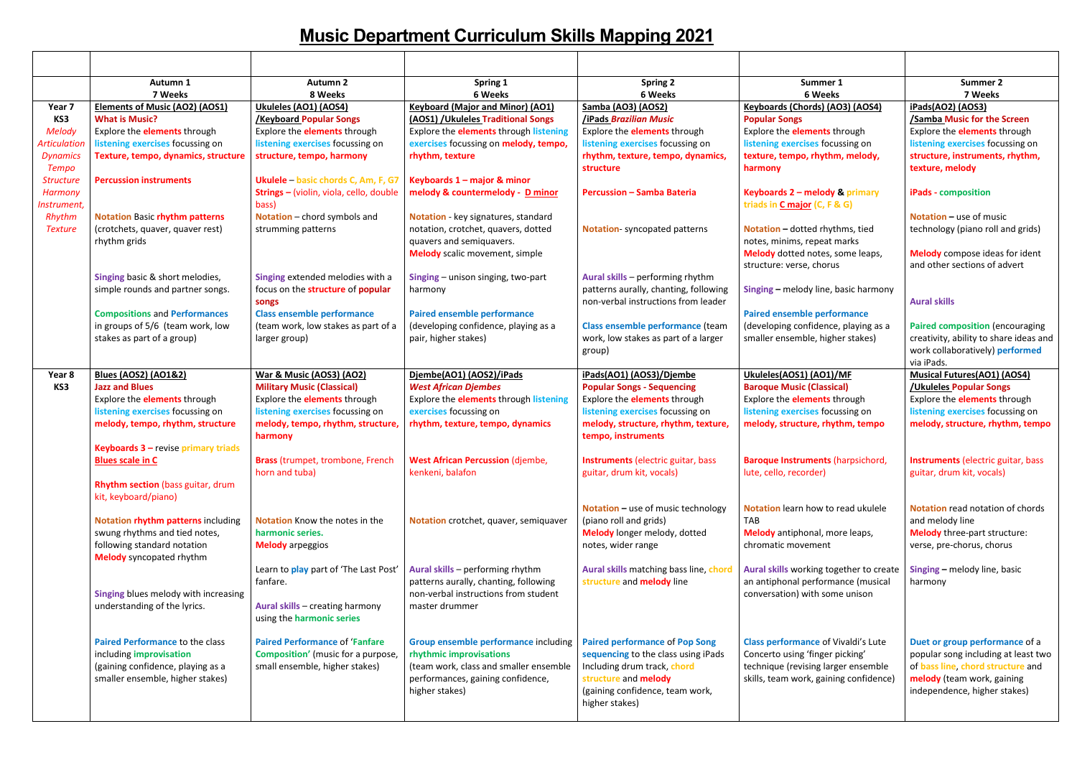|                                                                                          | Autumn 1<br>7 Weeks                                                                                                                                                                                                   | <b>Autumn 2</b><br>8 Weeks                                                                                                                                                               | Spring 1<br>6 Weeks                                                                                                                                                                         | <b>Spring 2</b><br>6 Weeks                                                                                                                                                                            | Summer 1<br>6 Weeks                                                                                                                                                              | <b>Summer 2</b><br>7 Weeks                                                                                                                                                        |
|------------------------------------------------------------------------------------------|-----------------------------------------------------------------------------------------------------------------------------------------------------------------------------------------------------------------------|------------------------------------------------------------------------------------------------------------------------------------------------------------------------------------------|---------------------------------------------------------------------------------------------------------------------------------------------------------------------------------------------|-------------------------------------------------------------------------------------------------------------------------------------------------------------------------------------------------------|----------------------------------------------------------------------------------------------------------------------------------------------------------------------------------|-----------------------------------------------------------------------------------------------------------------------------------------------------------------------------------|
| Year 7<br>KS3<br><b>Melody</b><br><b>Articulation</b><br><b>Dynamics</b><br><b>Tempo</b> | <b>Elements of Music (AO2) (AOS1)</b><br><b>What is Music?</b><br>Explore the <b>elements</b> through<br>listening exercises focussing on<br>Texture, tempo, dynamics, structure                                      | Ukuleles (AO1) (AOS4)<br><b>Keyboard Popular Songs</b><br>Explore the <b>elements</b> through<br>listening exercises focussing on<br>structure, tempo, harmony                           | <b>Keyboard (Major and Minor) (AO1)</b><br>(AOS1) / Ukuleles Traditional Songs<br>Explore the <b>elements</b> through listening<br>exercises focussing on melody, tempo,<br>rhythm, texture | Samba (AO3) (AOS2)<br>/iPads Brazilian Music<br>Explore the <b>elements</b> through<br>listening exercises focussing on<br>rhythm, texture, tempo, dynamics,<br>structure                             | Keyboards (Chords) (AO3) (AOS4)<br><b>Popular Songs</b><br>Explore the <b>elements</b> through<br>listening exercises focussing on<br>texture, tempo, rhythm, melody,<br>harmony | iPads(AO2) (AOS3)<br>/Samba Music for the Screen<br>Explore the <b>elements</b> through<br>listening exercises focussing on<br>structure, instruments, rhythm,<br>texture, melody |
| <b>Structure</b><br>Harmony<br>Instrument,                                               | <b>Percussion instruments</b>                                                                                                                                                                                         | Ukulele - basic chords C, Am, F, G7<br>Strings - (violin, viola, cello, double<br>bass)                                                                                                  | Keyboards 1 - major & minor<br>melody & countermelody - D minor                                                                                                                             | <b>Percussion - Samba Bateria</b>                                                                                                                                                                     | Keyboards 2 - melody & primary<br>triads in C major (C, F & G)                                                                                                                   | <b>iPads</b> - composition                                                                                                                                                        |
| Rhythm<br><b>Texture</b>                                                                 | <b>Notation Basic rhythm patterns</b><br>(crotchets, quaver, quaver rest)<br>rhythm grids                                                                                                                             | Notation - chord symbols and<br>strumming patterns                                                                                                                                       | Notation - key signatures, standard<br>notation, crotchet, quavers, dotted<br>quavers and semiquavers.<br><b>Melody</b> scalic movement, simple                                             | Notation-syncopated patterns                                                                                                                                                                          | Notation - dotted rhythms, tied<br>notes, minims, repeat marks<br>Melody dotted notes, some leaps,<br>structure: verse, chorus                                                   | <b>Notation – use of music</b><br>technology (piano roll and grids)<br><b>Melody</b> compose ideas for ident<br>and other sections of advert                                      |
|                                                                                          | Singing basic & short melodies,<br>simple rounds and partner songs.                                                                                                                                                   | Singing extended melodies with a<br>focus on the structure of popular<br>songs                                                                                                           | Singing - unison singing, two-part<br>harmony                                                                                                                                               | Aural skills - performing rhythm<br>patterns aurally, chanting, following<br>non-verbal instructions from leader                                                                                      | Singing - melody line, basic harmony                                                                                                                                             | <b>Aural skills</b>                                                                                                                                                               |
|                                                                                          | <b>Compositions and Performances</b><br>in groups of 5/6 (team work, low<br>stakes as part of a group)                                                                                                                | <b>Class ensemble performance</b><br>(team work, low stakes as part of a<br>larger group)                                                                                                | <b>Paired ensemble performance</b><br>(developing confidence, playing as a<br>pair, higher stakes)                                                                                          | Class ensemble performance (team<br>work, low stakes as part of a larger<br>group)                                                                                                                    | <b>Paired ensemble performance</b><br>(developing confidence, playing as a<br>smaller ensemble, higher stakes)                                                                   | <b>Paired composition (encouraging</b><br>creativity, ability to share ideas and<br>work collaboratively) performed<br>via iPads.                                                 |
| Year 8<br>KS3                                                                            | <b>Blues (AOS2) (AO1&amp;2)</b><br><b>Jazz and Blues</b><br>Explore the <b>elements</b> through<br>listening exercises focussing on<br>melody, tempo, rhythm, structure<br><b>Keyboards 3 - revise primary triads</b> | War & Music (AOS3) (AO2)<br><b>Military Music (Classical)</b><br>Explore the <b>elements</b> through<br>listening exercises focussing on<br>melody, tempo, rhythm, structure,<br>harmony | Djembe(AO1) (AOS2)/iPads<br><b>West African Djembes</b><br>Explore the <b>elements</b> through listening<br>exercises focussing on<br>rhythm, texture, tempo, dynamics                      | iPads(AO1) (AOS3)/Djembe<br><b>Popular Songs - Sequencing</b><br>Explore the <b>elements</b> through<br>listening exercises focussing on<br>melody, structure, rhythm, texture,<br>tempo, instruments | Ukuleles(AOS1) (AO1)/MF<br><b>Baroque Music (Classical)</b><br>Explore the <b>elements</b> through<br>listening exercises focussing on<br>melody, structure, rhythm, tempo       | <b>Musical Futures(AO1) (AOS4)</b><br>/Ukuleles Popular Songs<br>Explore the <b>elements</b> through<br>listening exercises focussing on<br>melody, structure, rhythm, tempo      |
|                                                                                          | <b>Blues scale in C</b><br>Rhythm section (bass guitar, drum<br>kit, keyboard/piano)                                                                                                                                  | <b>Brass (trumpet, trombone, French</b><br>horn and tuba)                                                                                                                                | <b>West African Percussion (djembe,</b><br>kenkeni, balafon                                                                                                                                 | <b>Instruments</b> (electric guitar, bass<br>guitar, drum kit, vocals)                                                                                                                                | <b>Baroque Instruments (harpsichord,</b><br>lute, cello, recorder)                                                                                                               | Instruments (electric guitar, bass<br>guitar, drum kit, vocals)                                                                                                                   |
|                                                                                          | Notation rhythm patterns including<br>swung rhythms and tied notes,<br>following standard notation<br><b>Melody</b> syncopated rhythm                                                                                 | Notation Know the notes in the<br>harmonic series.<br><b>Melody</b> arpeggios                                                                                                            | Notation crotchet, quaver, semiquaver                                                                                                                                                       | <b>Notation</b> – use of music technology<br>(piano roll and grids)<br>Melody longer melody, dotted<br>notes, wider range                                                                             | Notation learn how to read ukulele<br><b>TAB</b><br>Melody antiphonal, more leaps,<br>chromatic movement                                                                         | Notation read notation of chords<br>and melody line<br><b>Melody</b> three-part structure:<br>verse, pre-chorus, chorus                                                           |
|                                                                                          | Singing blues melody with increasing<br>understanding of the lyrics.                                                                                                                                                  | Learn to play part of 'The Last Post'<br>fanfare.<br>Aural skills - creating harmony<br>using the harmonic series                                                                        | Aural skills - performing rhythm<br>patterns aurally, chanting, following<br>non-verbal instructions from student<br>master drummer                                                         | Aural skills matching bass line, chord<br>structure and melody line                                                                                                                                   | Aural skills working together to create<br>an antiphonal performance (musical<br>conversation) with some unison                                                                  | Singing - melody line, basic<br>harmony                                                                                                                                           |
|                                                                                          | Paired Performance to the class<br>including improvisation<br>(gaining confidence, playing as a<br>smaller ensemble, higher stakes)                                                                                   | <b>Paired Performance of 'Fanfare</b><br><b>Composition'</b> (music for a purpose,<br>small ensemble, higher stakes)                                                                     | Group ensemble performance including<br>rhythmic improvisations<br>(team work, class and smaller ensemble<br>performances, gaining confidence,<br>higher stakes)                            | <b>Paired performance of Pop Song</b><br>sequencing to the class using iPads<br>Including drum track, chord<br>structure and melody<br>(gaining confidence, team work,<br>higher stakes)              | <b>Class performance of Vivaldi's Lute</b><br>Concerto using 'finger picking'<br>technique (revising larger ensemble<br>skills, team work, gaining confidence)                   | Duet or group performance of a<br>popular song including at least two<br>of bass line, chord structure and<br>melody (team work, gaining<br>independence, higher stakes)          |

## **Music Department Curriculum Skills Mapping 2021**